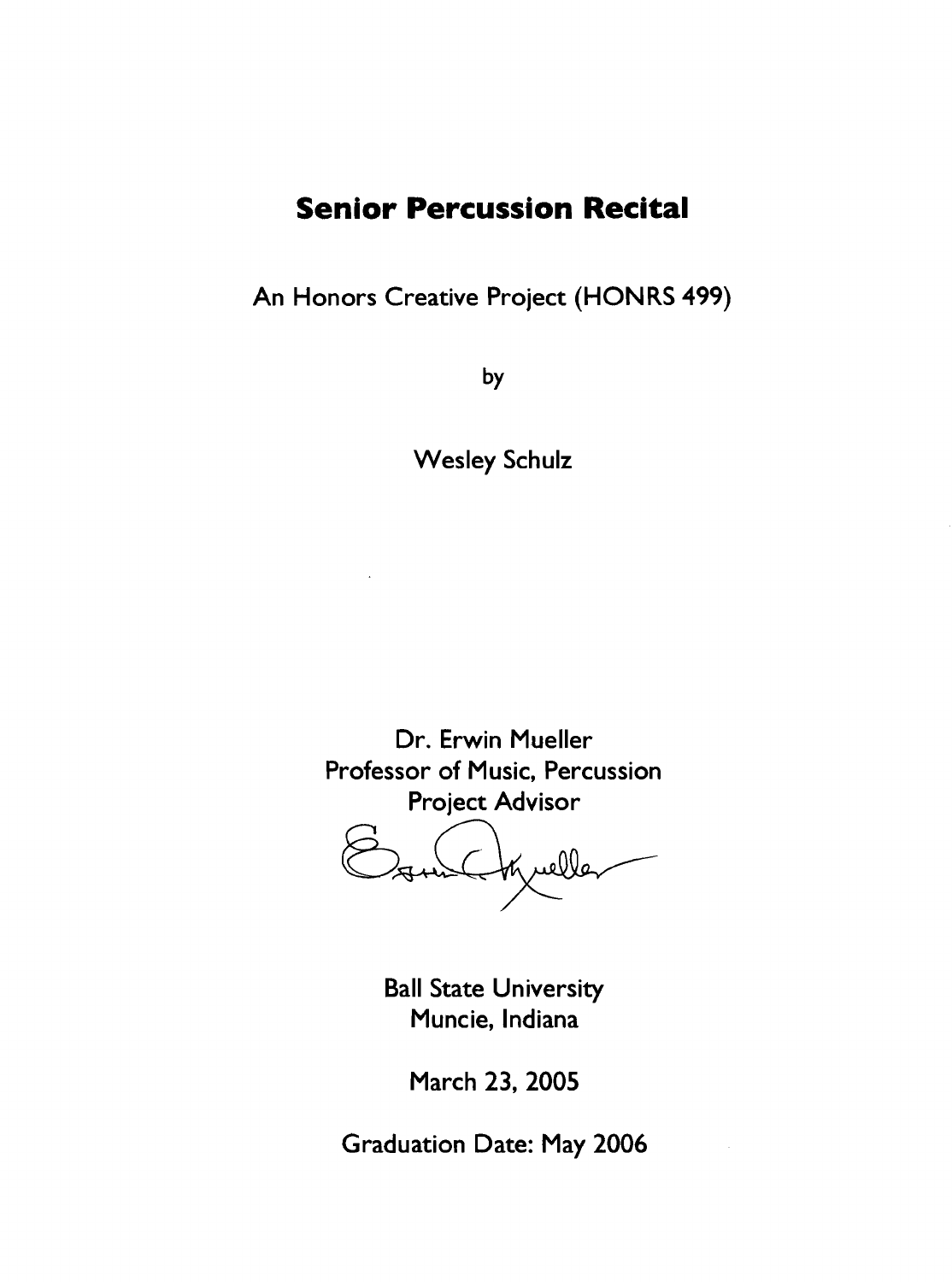# **Senior Percussion Recital**

An Honors Creative Project (HONRS 499)

by

Wesley Schulz

Dr. Erwin Mueller Professor of Music, Percussion Project Advisor

tynelle Osml

Ball State University Muncie, Indiana

March 23, 2005

Graduation Date: May 2006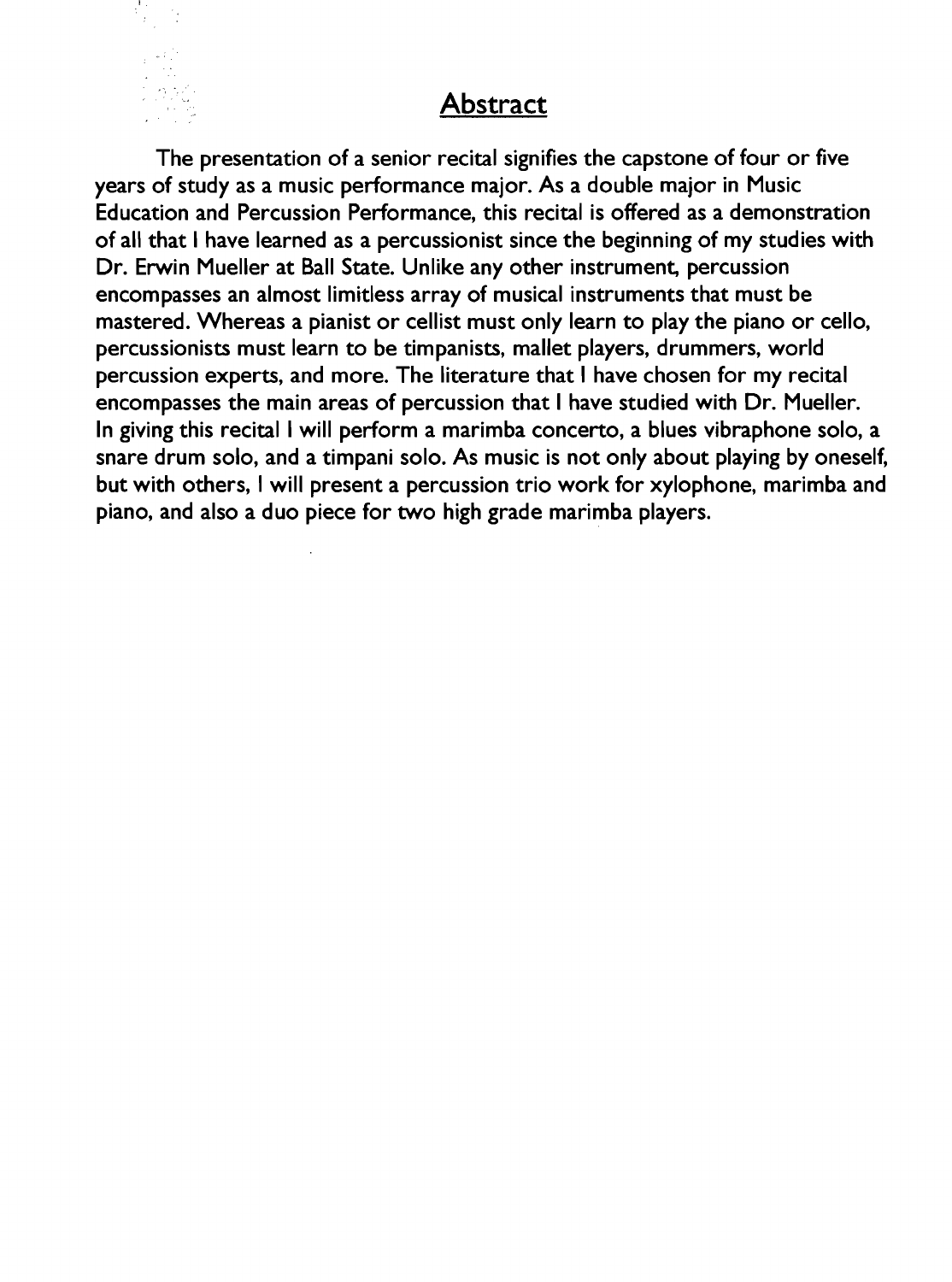## Abstract

The presentation of a senior recital signifies the capstone of four or five years of study as a music performance major. As a double major in Music Education and Percussion Performance, this recital is offered as a demonstration of all that I have learned as a percussionist since the beginning of my studies with Dr. Erwin Mueller at Ball State. Unlike any other instrument, percussion encompasses an almost limitless array of musical instruments that must be mastered. Whereas a pianist or cellist must only learn to play the piano or cello, percussionists must learn to be timpanists, mallet players, drummers, world percussion experts, and more. The literature that I have chosen for my recital encompasses the main areas of percussion that I have studied with Dr. Mueller. In giving this recital I will perform a marimba concerto, a blues vibraphone solo, a snare drum solo, and a timpani solo. As music is not only about playing by oneself, but with others, I will present a percussion trio work for xylophone, marimba and piano, and also a duo piece for two high grade marimba players.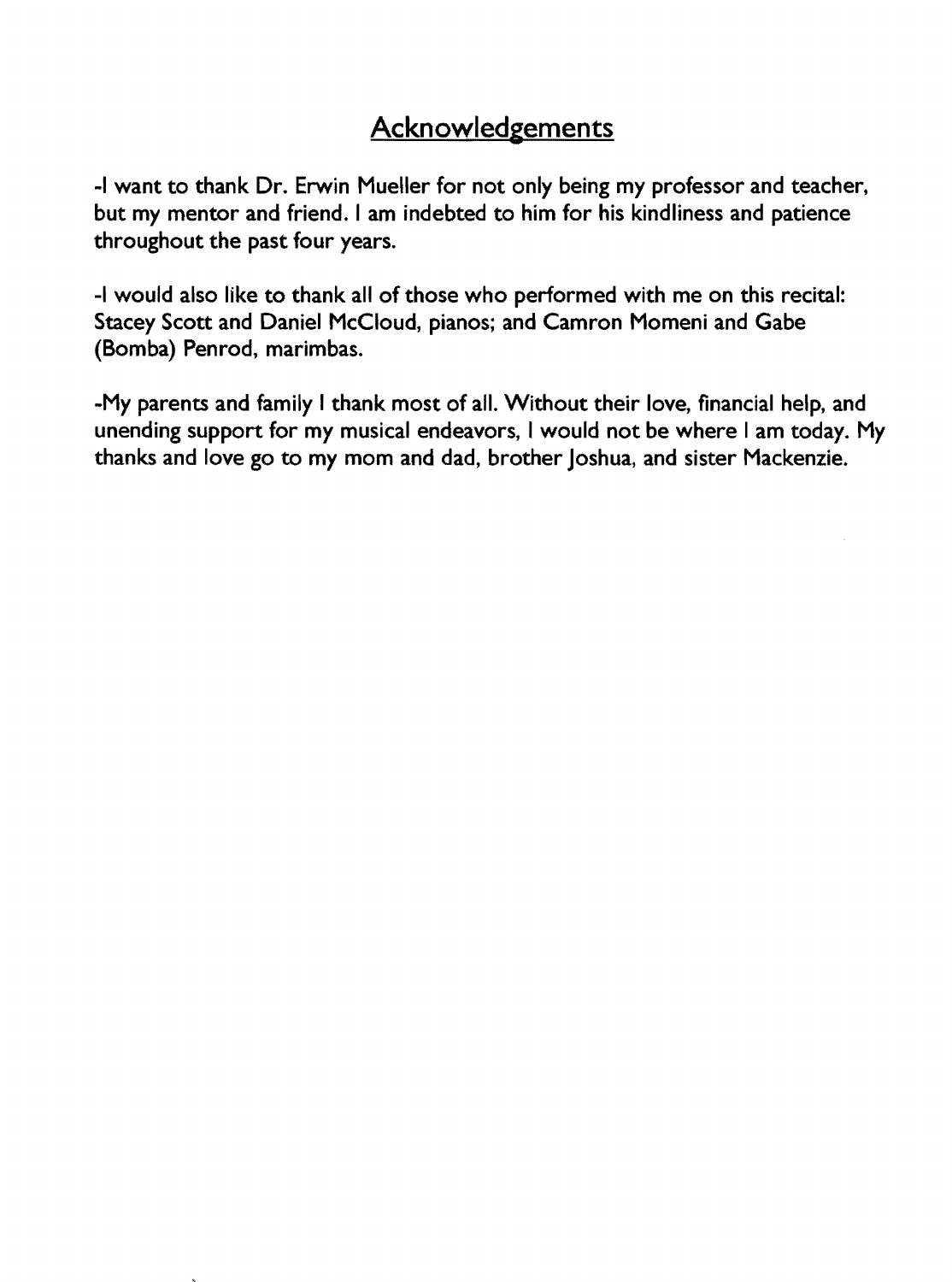## **Acknowledgements**

-I want to thank Dr. Erwin Mueller for not only being my professor and teacher, but my mentor and friend. I am indebted to him for his kindliness and patience throughout the past four years.

-I would also like to thank all of those who performed with me on this recital: Stacey Scott and Daniel McCloud, pianos; and Camron Momeni and Gabe (Bomba) Penrod, marimbas.

-My parents and family I thank most of all. Without their love, financial help, and unending support for my musical endeavors, I would not be where I am today. My thanks and love go to my mom and dad, brother Joshua, and sister Mackenzie.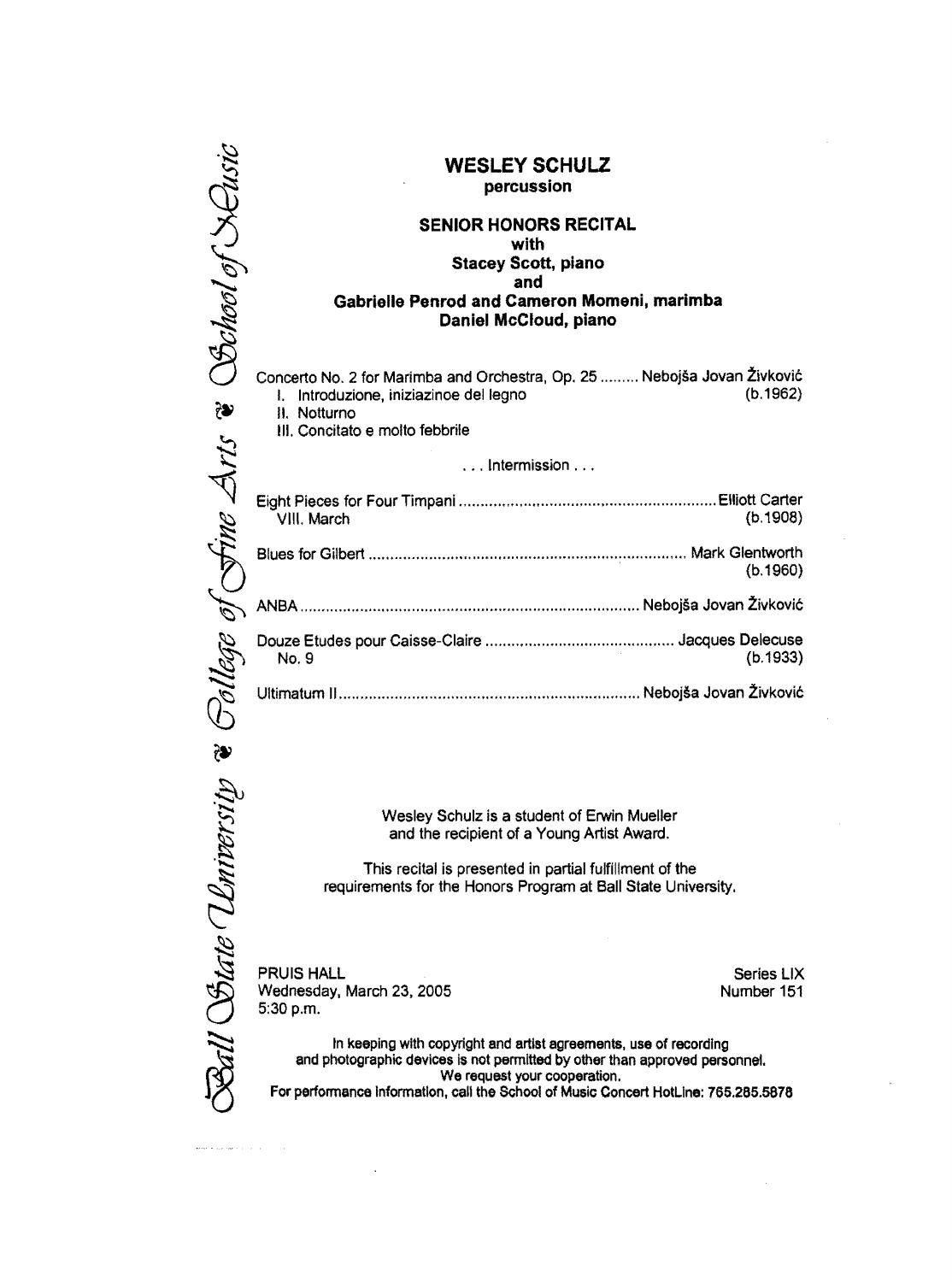|                                 | <b>WESLEY SCHULZ</b><br>percussion                                                                                                                                                                                                                                      |                          |
|---------------------------------|-------------------------------------------------------------------------------------------------------------------------------------------------------------------------------------------------------------------------------------------------------------------------|--------------------------|
|                                 | <b>SENIOR HONORS RECITAL</b><br>with<br><b>Stacey Scott, piano</b>                                                                                                                                                                                                      |                          |
| School of Keusic                | and<br>Gabrielle Penrod and Cameron Momeni, marimba<br>Daniel McCloud, piano                                                                                                                                                                                            |                          |
| t.                              | Concerto No. 2 for Marimba and Orchestra, Op. 25  Nebojša Jovan Živković<br>I. Introduzione, iniziazinoe del legno<br>II. Notturno<br>III. Concitato e molto febbrile                                                                                                   | (b.1962)                 |
|                                 | $\dots$ Intermission $\dots$                                                                                                                                                                                                                                            |                          |
| Sine Arts                       | VIII. March                                                                                                                                                                                                                                                             | (b.1908)                 |
|                                 |                                                                                                                                                                                                                                                                         | (b.1960)                 |
|                                 |                                                                                                                                                                                                                                                                         |                          |
|                                 | No. 9                                                                                                                                                                                                                                                                   | (b.1933)                 |
|                                 |                                                                                                                                                                                                                                                                         |                          |
|                                 |                                                                                                                                                                                                                                                                         |                          |
| Ball State University & Sollege | Wesley Schulz is a student of Erwin Mueller<br>and the recipient of a Young Artist Award.<br>This recital is presented in partial fulfillment of the<br>requirements for the Honors Program at Ball State University.                                                   |                          |
|                                 | <b>PRUIS HALL</b><br>Wednesday, March 23, 2005<br>5:30 p.m.                                                                                                                                                                                                             | Series LIX<br>Number 151 |
|                                 | In keeping with copyright and artist agreements, use of recording<br>and photographic devices is not permitted by other than approved personnel.<br>We request your cooperation.<br>For performance information, call the School of Music Concert HotLine: 765.285.5878 |                          |
|                                 |                                                                                                                                                                                                                                                                         |                          |

 $\label{eq:1} \frac{1}{2} \sum_{i=1}^n \frac{1}{2} \sum_{j=1}^n \frac{1}{2} \sum_{j=1}^n \frac{1}{2} \sum_{j=1}^n \frac{1}{2} \sum_{j=1}^n \frac{1}{2} \sum_{j=1}^n \frac{1}{2} \sum_{j=1}^n \frac{1}{2} \sum_{j=1}^n \frac{1}{2} \sum_{j=1}^n \frac{1}{2} \sum_{j=1}^n \frac{1}{2} \sum_{j=1}^n \frac{1}{2} \sum_{j=1}^n \frac{1}{2} \sum_{j=1}^n \frac{1}{$ 

 $\cdot$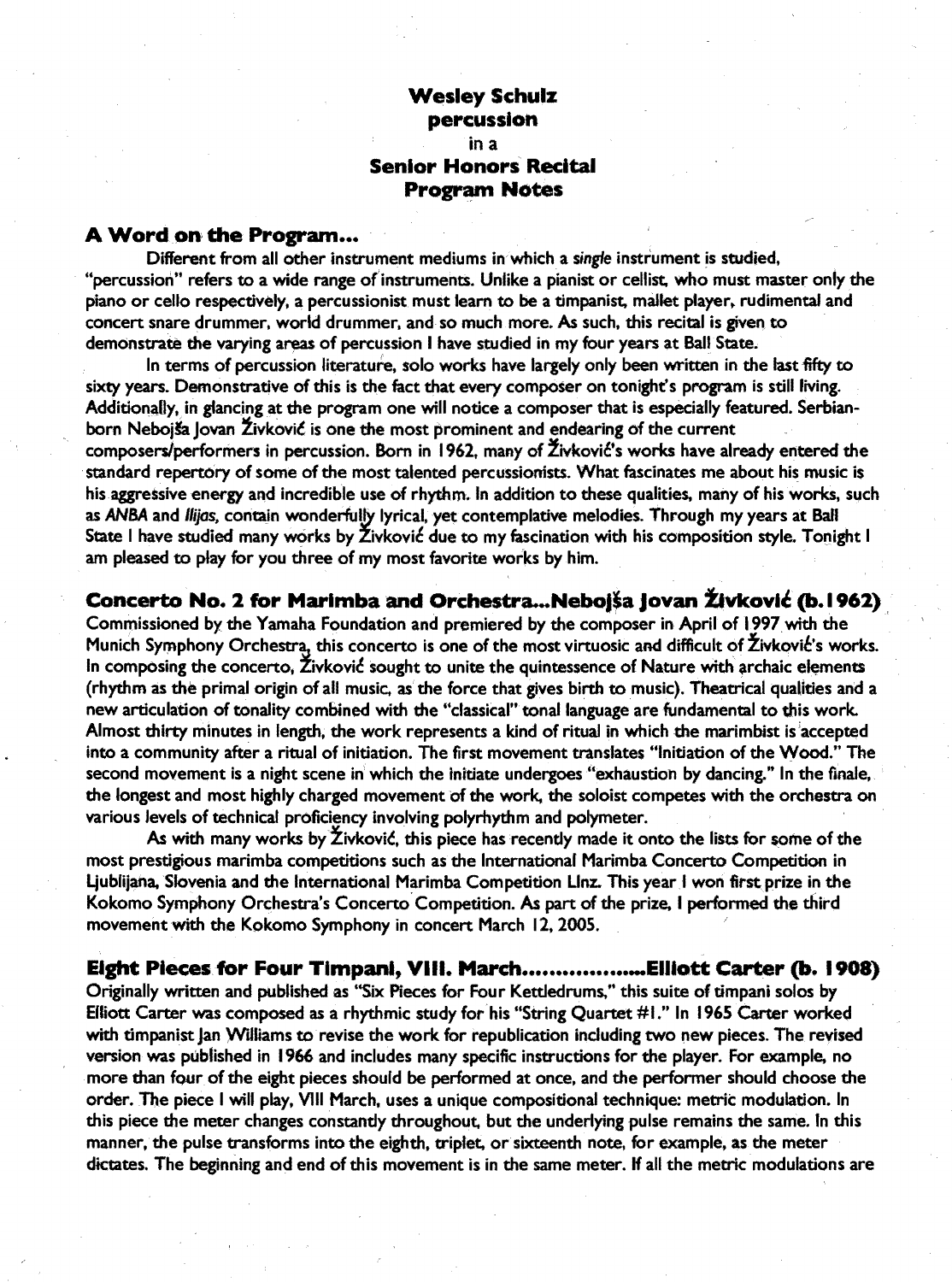### **Wesley Schulz percussion**

#### in a **Senior Honors Recital Program Notes**

#### **A** Word on **the Program •..**

Different from all other instrument mediums in which a single instrument is studied, "percussion" refers to a wide range of instruments. Unlike a pianist or cellist, who must master only the piano or cello respectively, a percussionist must learn to be a timpanist, mallet player, rudimental and concert snare drummer. world drummer. and so much more. As such. this recital is given to demonstrate the varying areas of percussion I have studied in my four years at Ball State.

In terms of percussion literature, solo works have largely only been written in the last fifty to sixty years. Demonstrative of this is the fact that every composer on tonight's program is still living. Additionally, in glancing at the program one will notice a composer that is especially featured. Serbianborn Nebojša Jovan Živković is one the most prominent and endearing of the current composers/performers in percussion. Born in 1962, many of Živković's works have already entered the standard repertory of some of the most talented percussionists. What fascinates me about his music is his aggressive energy and incredible use of rhythm. In addition to these qualities, many of his works, such as ANBA and llijas, contain wonderfully lyrical, yet contemplative melodies. Through my years at Ball State I have studied many works by Živković due to my fascination with his composition style. Tonight I am pleased to play for you three of my most favorite works by him.

### **Concerto No. 2 for Marimba and Orchestra... Nebojša Jovan Živković (b. 1962)**

Commissioned by the Yamaha Foundation and premiered by the composer in April of 1997. with the Munich Symphony Orchestra, this concerto is one of the most virtuosic and difficult of Živković's works. In composing the concerto, Živković sought to unite the quintessence of Nature with archaic elements (rhythm as the primal origin of all music. as the force that gives birth to music). Theatrical qualities and a new articulation of tonality combined with the "classical" tonal language are fundamental to this work. Almost thirty minutes in length, the work represents a kind of ritual in which the marimbist is accepted into a community after a ritual of initiation. The first movement translates "Initiation of the Wood." The second movement is a night scene in which the initiate undergoes "exhaustion by dancing." In the finale, the longest and most highly charged movement of the work. the soloist competes with the orchestra on various levels of technical proficiency involving polyrhythm and polymeter. '

As with many works by  $\check{\mathsf{Z}}$ ivković, this piece has recently made it onto the lists for some of the most prestigious marimba competitions such as the International Marimba Concerto Competition in Ljublijana. Slovenia and the International Marimba Competition Llnz. This year I won first prize in the Kokomo Symphony Orchestra's Concerto Competition. As part of the prize, I performed the third movement with the Kokomo Symphony in concert March 12, 2005.

#### **Eight Pieces for Four Timpani, VIII.** March ................... Elllott **Carter (b. 1908)**

Originally written and published as "Six Pieces for Four Ketdedrums," this suite of timpani solos by Elliott Carter was composed as a rhythmic study for his "String Quartet #1." In 1965 Carter worked with timpanist Jan Williams to revise the work for republication including two new pieces. The revised version was published in 1966 and includes many specific instructions for the player. For example. no more than four of the eight pieces should be performed at once, and the performer should choose the order. The piece I will play, VIII March, uses a unique compositional technique: metric modulation. In this piece the meter changes constantly throughout, but the underlying pulse remains the same. In this manner, the pulse transforms into the eighth, triplet, or sixteenth note, for example, as the meter dictates. The beginning and end of this movement is in the same meter. If all the metric modulations are